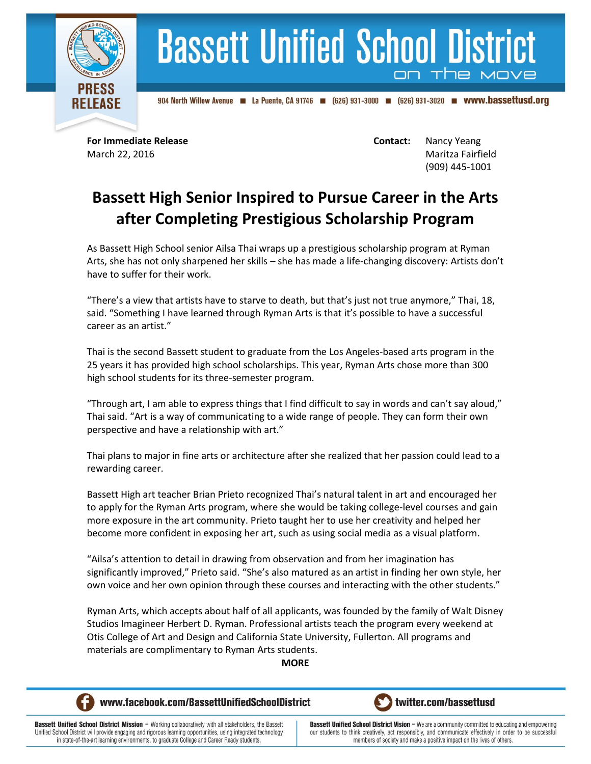

## **Bassett Unified School District**

904 North Willow Avenue 4 La Puente, CA 91746 (626) 931-3000 (626) 931-3020 **m** WWW.bassettusd.org

**For Immediate Release Contact:** Nancy Yeang March 22, 2016 Maritza Fairfield (909) 445-1001

## **Bassett High Senior Inspired to Pursue Career in the Arts after Completing Prestigious Scholarship Program**

As Bassett High School senior Ailsa Thai wraps up a prestigious scholarship program at Ryman Arts, she has not only sharpened her skills – she has made a life-changing discovery: Artists don't have to suffer for their work.

"There's a view that artists have to starve to death, but that's just not true anymore," Thai, 18, said. "Something I have learned through Ryman Arts is that it's possible to have a successful career as an artist."

Thai is the second Bassett student to graduate from the Los Angeles-based arts program in the 25 years it has provided high school scholarships. This year, Ryman Arts chose more than 300 high school students for its three-semester program.

"Through art, I am able to express things that I find difficult to say in words and can't say aloud," Thai said. "Art is a way of communicating to a wide range of people. They can form their own perspective and have a relationship with art."

Thai plans to major in fine arts or architecture after she realized that her passion could lead to a rewarding career.

Bassett High art teacher Brian Prieto recognized Thai's natural talent in art and encouraged her to apply for the Ryman Arts program, where she would be taking college-level courses and gain more exposure in the art community. Prieto taught her to use her creativity and helped her become more confident in exposing her art, such as using social media as a visual platform.

"Ailsa's attention to detail in drawing from observation and from her imagination has significantly improved," Prieto said. "She's also matured as an artist in finding her own style, her own voice and her own opinion through these courses and interacting with the other students."

Ryman Arts, which accepts about half of all applicants, was founded by the family of Walt Disney Studios Imagineer Herbert D. Ryman. Professional artists teach the program every weekend at Otis College of Art and Design and California State University, Fullerton. All programs and materials are complimentary to Ryman Arts students.

## **MORE**



www.facebook.com/BassettUnifiedSchoolDistrict



Bassett Unified School District Mission - Working collaboratively with all stakeholders, the Bassett Unified School District will provide engaging and rigorous learning opportunities, using integrated technology in state-of-the-art learning environments, to graduate College and Career Ready students.

**Bassett Unified School District Vision - We are a community committed to educating and empowering** our students to think creatively, act responsibly, and communicate effectively in order to be successful members of society and make a positive impact on the lives of others.